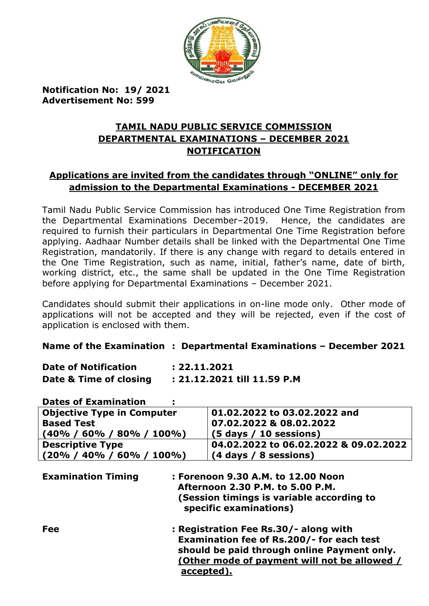

**Notification No: 19/ 2021 Advertisement No: 599**

# **TAMIL NADU PUBLIC SERVICE COMMISSION DEPARTMENTAL EXAMINATIONS – DECEMBER 2021 NOTIFICATION**

# **Applications are invited from the candidates through "ONLINE" only for admission to the Departmental Examinations - DECEMBER 2021**

Tamil Nadu Public Service Commission has introduced One Time Registration from the Departmental Examinations December–2019. Hence, the candidates are required to furnish their particulars in Departmental One Time Registration before applying. Aadhaar Number details shall be linked with the Departmental One Time Registration, mandatorily. If there is any change with regard to details entered in the One Time Registration, such as name, initial, father's name, date of birth, working district, etc., the same shall be updated in the One Time Registration before applying for Departmental Examinations – December 2021.

Candidates should submit their applications in on-line mode only. Other mode of applications will not be accepted and they will be rejected, even if the cost of application is enclosed with them.

### **Name of the Examination : Departmental Examinations – December 2021**

| <b>Date of Notification</b> | : 22.11.2021                |
|-----------------------------|-----------------------------|
| Date & Time of closing      | : 21.12.2021 till 11.59 P.M |

### **Dates of Examination :**

| <b>Objective Type in Computer</b>                                                                                                                                          | 01.02.2022 to 03.02.2022 and                                                                                                                                                                    |  |  |
|----------------------------------------------------------------------------------------------------------------------------------------------------------------------------|-------------------------------------------------------------------------------------------------------------------------------------------------------------------------------------------------|--|--|
| <b>Based Test</b>                                                                                                                                                          | 07.02.2022 & 08.02.2022                                                                                                                                                                         |  |  |
| $(40\% / 60\% / 80\% / 100\%)$                                                                                                                                             | $(5 \text{ days} / 10 \text{ sessions})$                                                                                                                                                        |  |  |
| <b>Descriptive Type</b>                                                                                                                                                    | 04.02.2022 to 06.02.2022 & 09.02.2022                                                                                                                                                           |  |  |
| $(20\% / 40\% / 60\% / 100\%)$                                                                                                                                             | $(4$ days $/ 8$ sessions)                                                                                                                                                                       |  |  |
| <b>Examination Timing</b><br>: Forenoon 9.30 A.M. to 12.00 Noon<br>Afternoon 2.30 P.M. to 5.00 P.M.<br>(Session timings is variable according to<br>specific examinations) |                                                                                                                                                                                                 |  |  |
| Fee                                                                                                                                                                        | : Registration Fee Rs.30/- along with<br>Examination fee of Rs.200/- for each test<br>should be paid through online Payment only.<br>(Other mode of payment will not be allowed /<br>accepted). |  |  |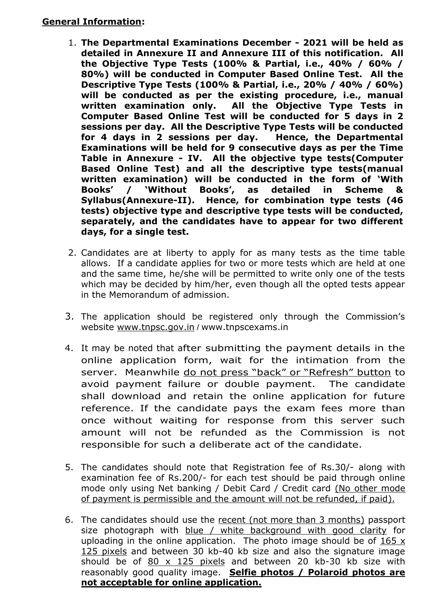- 1. **The Departmental Examinations December - 2021 will be held as detailed in Annexure II and Annexure III of this notification. All the Objective Type Tests (100% & Partial, i.e., 40% / 60% / 80%) will be conducted in Computer Based Online Test. All the Descriptive Type Tests (100% & Partial, i.e., 20% / 40% / 60%) will be conducted as per the existing procedure, i.e., manual written examination only. All the Objective Type Tests in Computer Based Online Test will be conducted for 5 days in 2 sessions per day. All the Descriptive Type Tests will be conducted for 4 days in 2 sessions per day. Hence, the Departmental Examinations will be held for 9 consecutive days as per the Time Table in Annexure - IV. All the objective type tests(Computer Based Online Test) and all the descriptive type tests(manual written examination) will be conducted in the form of "With Books" / "Without Books", as detailed in Scheme & Syllabus(Annexure-II). Hence, for combination type tests (46 tests) objective type and descriptive type tests will be conducted, separately, and the candidates have to appear for two different days, for a single test.**
- 2. Candidates are at liberty to apply for as many tests as the time table allows. If a candidate applies for two or more tests which are held at one and the same time, he/she will be permitted to write only one of the tests which may be decided by him/her, even though all the opted tests appear in the Memorandum of admission.
- 3. The application should be registered only through the Commission's website [www.tnpsc.gov.in](http://www.tnpsc.gov.in/) / www.tnpscexams.in
- 4. It may be noted that after submitting the payment details in the online application form, wait for the intimation from the server. Meanwhile do not press "back" or "Refresh" button to avoid payment failure or double payment. The candidate shall download and retain the online application for future reference. If the candidate pays the exam fees more than once without waiting for response from this server such amount will not be refunded as the Commission is not responsible for such a deliberate act of the candidate.
- 5. The candidates should note that Registration fee of Rs.30/- along with examination fee of Rs.200/- for each test should be paid through online mode only using Net banking / Debit Card / Credit card (No other mode of payment is permissible and the amount will not be refunded, if paid).
- 6. The candidates should use the recent (not more than 3 months) passport size photograph with blue / white background with good clarity for uploading in the online application. The photo image should be of 165 x 125 pixels and between 30 kb-40 kb size and also the signature image should be of  $80 \times 125$  pixels and between 20 kb-30 kb size with reasonably good quality image. **Selfie photos / Polaroid photos are not acceptable for online application.**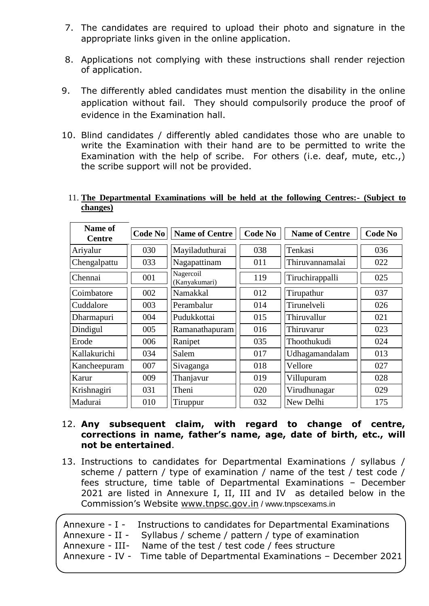- 7. The candidates are required to upload their photo and signature in the appropriate links given in the online application.
- 8. Applications not complying with these instructions shall render rejection of application.
- 9. The differently abled candidates must mention the disability in the online application without fail. They should compulsorily produce the proof of evidence in the Examination hall.
- 10. Blind candidates / differently abled candidates those who are unable to write the Examination with their hand are to be permitted to write the Examination with the help of scribe. For others (i.e. deaf, mute, etc.,) the scribe support will not be provided.

| Name of<br><b>Centre</b> | <b>Code No</b> | <b>Name of Centre</b>      | <b>Code No</b> | <b>Name of Centre</b> | <b>Code No</b> |
|--------------------------|----------------|----------------------------|----------------|-----------------------|----------------|
| Ariyalur                 | 030            | Mayiladuthurai             | 038            | Tenkasi               | 036            |
| Chengalpattu             | 033            | Nagapattinam               | 011            | Thiruvannamalai       | 022            |
| Chennai                  | 001            | Nagercoil<br>(Kanyakumari) | 119            | Tiruchirappalli       | 025            |
| Coimbatore               | 002            | Namakkal                   | 012            | Tirupathur            | 037            |
| Cuddalore                | 003            | Perambalur                 | 014            | Tirunelveli           | 026            |
| Dharmapuri               | 004            | Pudukkottai                | 015            | Thiruvallur           | 021            |
| Dindigul                 | 005            | Ramanathapuram             | 016            | Thiruvarur            | 023            |
| Erode                    | 006            | Ranipet                    | 035            | Thoothukudi           | 024            |
| Kallakurichi             | 034            | Salem                      | 017            | Udhagamandalam        | 013            |
| Kancheepuram             | 007            | Sivaganga                  | 018            | Vellore               | 027            |
| Karur                    | 009            | Thanjavur                  | 019            | Villupuram            | 028            |
| Krishnagiri              | 031            | Theni                      | 020            | Virudhunagar          | 029            |
| Madurai                  | 010            | Tiruppur                   | 032            | New Delhi             | 175            |

#### 11. **The Departmental Examinations will be held at the following Centres:- (Subject to changes)**

- 12. **Any subsequent claim, with regard to change of centre, corrections in name, father"s name, age, date of birth, etc., will not be entertained**.
- 13. Instructions to candidates for Departmental Examinations / syllabus / scheme / pattern / type of examination / name of the test / test code / fees structure, time table of Departmental Examinations – December 2021 are listed in Annexure I, II, III and IV as detailed below in the Commission's Website [www.tnpsc.gov.in](http://www.tnpsc.gov.in/) / www.tnpscexams.in

|  | Annexure - I - Instructions to candidates for Departmental Examinations |
|--|-------------------------------------------------------------------------|
|  |                                                                         |
|  | Annexure - II - Syllabus / scheme / pattern / type of examination       |
|  | Annexure - III- Name of the test / test code / fees structure           |
|  | Annexure - IV - Time table of Departmental Examinations - December 2021 |
|  |                                                                         |